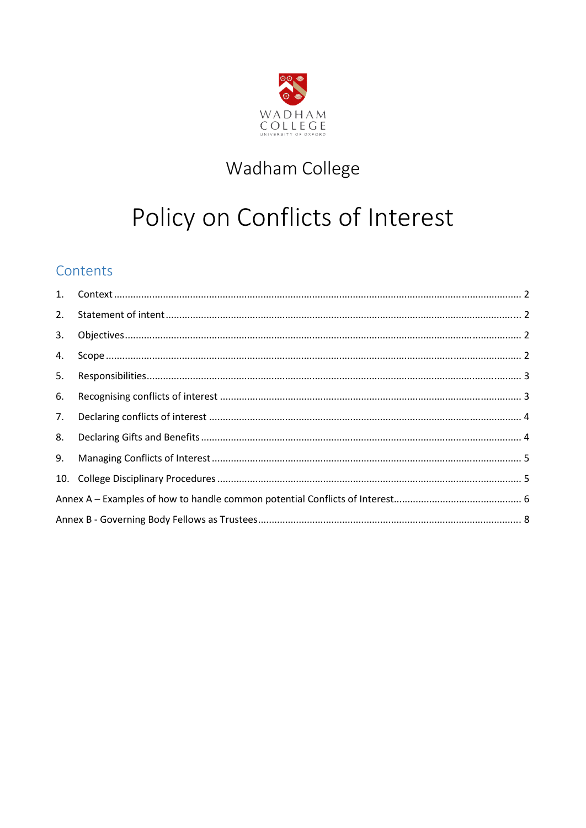

## Wadham College

# Policy on Conflicts of Interest

### Contents

| 2. |  |  |  |
|----|--|--|--|
| 3. |  |  |  |
| 4. |  |  |  |
| 5. |  |  |  |
| 6. |  |  |  |
| 7. |  |  |  |
| 8. |  |  |  |
| 9. |  |  |  |
|    |  |  |  |
|    |  |  |  |
|    |  |  |  |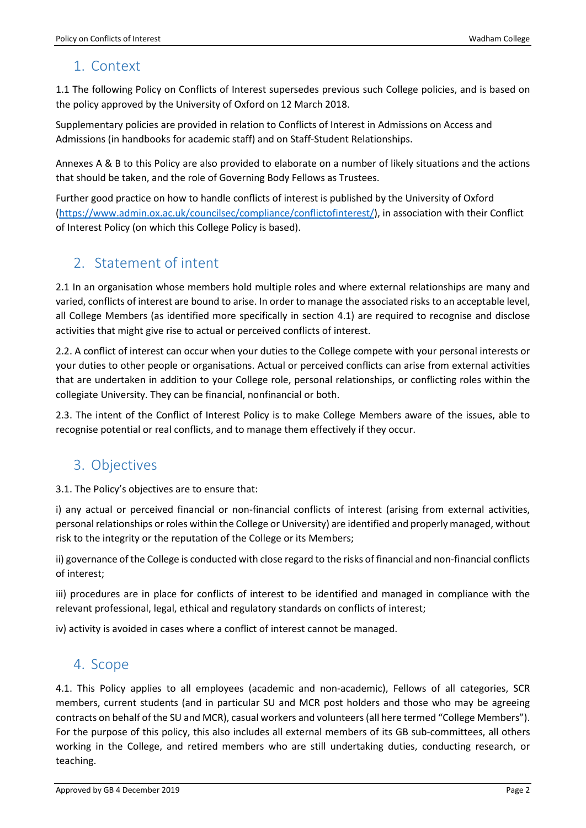### <span id="page-1-0"></span>1. Context

1.1 The following Policy on Conflicts of Interest supersedes previous such College policies, and is based on the policy approved by the University of Oxford on 12 March 2018.

Supplementary policies are provided in relation to Conflicts of Interest in Admissions on Access and Admissions (in handbooks for academic staff) and on Staff-Student Relationships.

Annexes A & B to this Policy are also provided to elaborate on a number of likely situations and the actions that should be taken, and the role of Governing Body Fellows as Trustees.

Further good practice on how to handle conflicts of interest is published by the University of Oxford [\(https://www.admin.ox.ac.uk/councilsec/compliance/conflictofinterest/\)](https://www.admin.ox.ac.uk/councilsec/compliance/conflictofinterest/), in association with their Conflict of Interest Policy (on which this College Policy is based).

### <span id="page-1-1"></span>2. Statement of intent

2.1 In an organisation whose members hold multiple roles and where external relationships are many and varied, conflicts of interest are bound to arise. In order to manage the associated risks to an acceptable level, all College Members (as identified more specifically in section 4.1) are required to recognise and disclose activities that might give rise to actual or perceived conflicts of interest.

2.2. A conflict of interest can occur when your duties to the College compete with your personal interests or your duties to other people or organisations. Actual or perceived conflicts can arise from external activities that are undertaken in addition to your College role, personal relationships, or conflicting roles within the collegiate University. They can be financial, nonfinancial or both.

2.3. The intent of the Conflict of Interest Policy is to make College Members aware of the issues, able to recognise potential or real conflicts, and to manage them effectively if they occur.

### <span id="page-1-2"></span>3. Objectives

3.1. The Policy's objectives are to ensure that:

i) any actual or perceived financial or non-financial conflicts of interest (arising from external activities, personal relationships or roles within the College or University) are identified and properly managed, without risk to the integrity or the reputation of the College or its Members;

ii) governance of the College is conducted with close regard to the risks of financial and non-financial conflicts of interest;

iii) procedures are in place for conflicts of interest to be identified and managed in compliance with the relevant professional, legal, ethical and regulatory standards on conflicts of interest;

<span id="page-1-3"></span>iv) activity is avoided in cases where a conflict of interest cannot be managed.

### 4. Scope

4.1. This Policy applies to all employees (academic and non-academic), Fellows of all categories, SCR members, current students (and in particular SU and MCR post holders and those who may be agreeing contracts on behalf of the SU and MCR), casual workers and volunteers (all here termed "College Members"). For the purpose of this policy, this also includes all external members of its GB sub-committees, all others working in the College, and retired members who are still undertaking duties, conducting research, or teaching.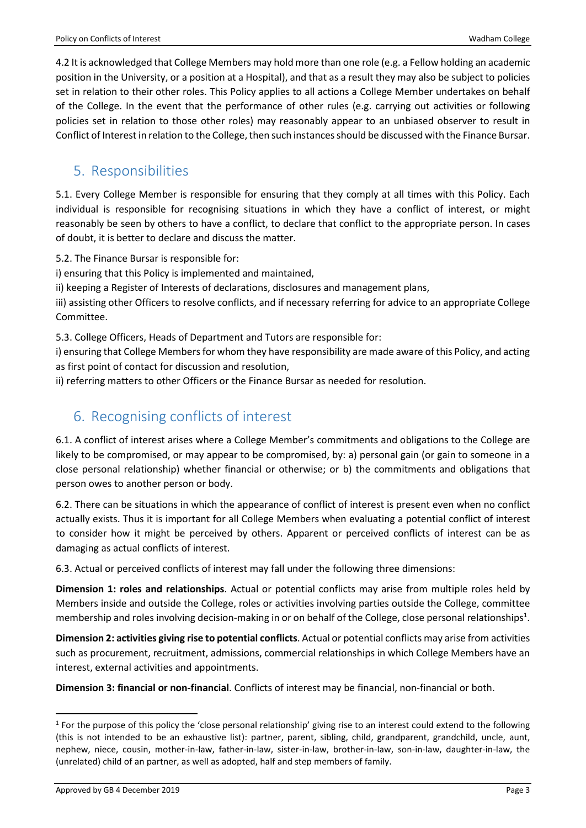4.2 It is acknowledged that College Members may hold more than one role (e.g. a Fellow holding an academic position in the University, or a position at a Hospital), and that as a result they may also be subject to policies set in relation to their other roles. This Policy applies to all actions a College Member undertakes on behalf of the College. In the event that the performance of other rules (e.g. carrying out activities or following policies set in relation to those other roles) may reasonably appear to an unbiased observer to result in Conflict of Interest in relation to the College, then such instances should be discussed with the Finance Bursar.

### <span id="page-2-0"></span>5. Responsibilities

5.1. Every College Member is responsible for ensuring that they comply at all times with this Policy. Each individual is responsible for recognising situations in which they have a conflict of interest, or might reasonably be seen by others to have a conflict, to declare that conflict to the appropriate person. In cases of doubt, it is better to declare and discuss the matter.

5.2. The Finance Bursar is responsible for:

i) ensuring that this Policy is implemented and maintained,

ii) keeping a Register of Interests of declarations, disclosures and management plans,

iii) assisting other Officers to resolve conflicts, and if necessary referring for advice to an appropriate College Committee.

5.3. College Officers, Heads of Department and Tutors are responsible for:

i) ensuring that College Members for whom they have responsibility are made aware of this Policy, and acting as first point of contact for discussion and resolution,

<span id="page-2-1"></span>ii) referring matters to other Officers or the Finance Bursar as needed for resolution.

### 6. Recognising conflicts of interest

6.1. A conflict of interest arises where a College Member's commitments and obligations to the College are likely to be compromised, or may appear to be compromised, by: a) personal gain (or gain to someone in a close personal relationship) whether financial or otherwise; or b) the commitments and obligations that person owes to another person or body.

6.2. There can be situations in which the appearance of conflict of interest is present even when no conflict actually exists. Thus it is important for all College Members when evaluating a potential conflict of interest to consider how it might be perceived by others. Apparent or perceived conflicts of interest can be as damaging as actual conflicts of interest.

6.3. Actual or perceived conflicts of interest may fall under the following three dimensions:

**Dimension 1: roles and relationships**. Actual or potential conflicts may arise from multiple roles held by Members inside and outside the College, roles or activities involving parties outside the College, committee membership and roles involving decision-making in or on behalf of the College, close personal relationships $<sup>1</sup>$ .</sup>

**Dimension 2: activities giving rise to potential conflicts**. Actual or potential conflicts may arise from activities such as procurement, recruitment, admissions, commercial relationships in which College Members have an interest, external activities and appointments.

**Dimension 3: financial or non-financial**. Conflicts of interest may be financial, non-financial or both.

 $\overline{a}$ 

 $1$  For the purpose of this policy the 'close personal relationship' giving rise to an interest could extend to the following (this is not intended to be an exhaustive list): partner, parent, sibling, child, grandparent, grandchild, uncle, aunt, nephew, niece, cousin, mother-in-law, father-in-law, sister-in-law, brother-in-law, son-in-law, daughter-in-law, the (unrelated) child of an partner, as well as adopted, half and step members of family.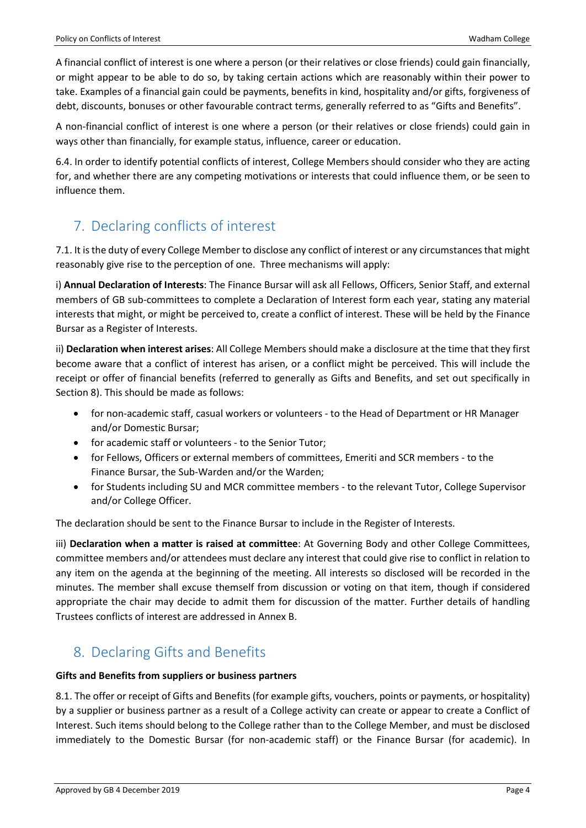A financial conflict of interest is one where a person (or their relatives or close friends) could gain financially, or might appear to be able to do so, by taking certain actions which are reasonably within their power to take. Examples of a financial gain could be payments, benefits in kind, hospitality and/or gifts, forgiveness of debt, discounts, bonuses or other favourable contract terms, generally referred to as "Gifts and Benefits".

A non-financial conflict of interest is one where a person (or their relatives or close friends) could gain in ways other than financially, for example status, influence, career or education.

6.4. In order to identify potential conflicts of interest, College Members should consider who they are acting for, and whether there are any competing motivations or interests that could influence them, or be seen to influence them.

### <span id="page-3-0"></span>7. Declaring conflicts of interest

7.1. It is the duty of every College Member to disclose any conflict of interest or any circumstances that might reasonably give rise to the perception of one. Three mechanisms will apply:

i) **Annual Declaration of Interests**: The Finance Bursar will ask all Fellows, Officers, Senior Staff, and external members of GB sub-committees to complete a Declaration of Interest form each year, stating any material interests that might, or might be perceived to, create a conflict of interest. These will be held by the Finance Bursar as a Register of Interests.

ii) **Declaration when interest arises**: All College Members should make a disclosure at the time that they first become aware that a conflict of interest has arisen, or a conflict might be perceived. This will include the receipt or offer of financial benefits (referred to generally as Gifts and Benefits, and set out specifically in Section 8). This should be made as follows:

- for non-academic staff, casual workers or volunteers to the Head of Department or HR Manager and/or Domestic Bursar;
- for academic staff or volunteers to the Senior Tutor;
- for Fellows, Officers or external members of committees, Emeriti and SCR members to the Finance Bursar, the Sub-Warden and/or the Warden;
- for Students including SU and MCR committee members to the relevant Tutor, College Supervisor and/or College Officer.

The declaration should be sent to the Finance Bursar to include in the Register of Interests.

iii) **Declaration when a matter is raised at committee**: At Governing Body and other College Committees, committee members and/or attendees must declare any interest that could give rise to conflict in relation to any item on the agenda at the beginning of the meeting. All interests so disclosed will be recorded in the minutes. The member shall excuse themself from discussion or voting on that item, though if considered appropriate the chair may decide to admit them for discussion of the matter. Further details of handling Trustees conflicts of interest are addressed in Annex B.

### <span id="page-3-1"></span>8. Declaring Gifts and Benefits

#### **Gifts and Benefits from suppliers or business partners**

8.1. The offer or receipt of Gifts and Benefits (for example gifts, vouchers, points or payments, or hospitality) by a supplier or business partner as a result of a College activity can create or appear to create a Conflict of Interest. Such items should belong to the College rather than to the College Member, and must be disclosed immediately to the Domestic Bursar (for non-academic staff) or the Finance Bursar (for academic). In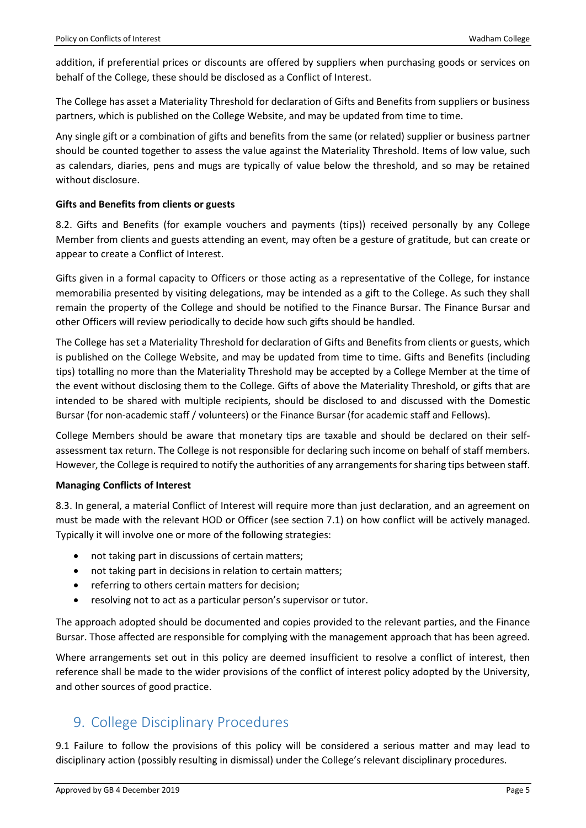addition, if preferential prices or discounts are offered by suppliers when purchasing goods or services on behalf of the College, these should be disclosed as a Conflict of Interest.

The College has asset a Materiality Threshold for declaration of Gifts and Benefits from suppliers or business partners, which is published on the College Website, and may be updated from time to time.

Any single gift or a combination of gifts and benefits from the same (or related) supplier or business partner should be counted together to assess the value against the Materiality Threshold. Items of low value, such as calendars, diaries, pens and mugs are typically of value below the threshold, and so may be retained without disclosure.

#### **Gifts and Benefits from clients or guests**

8.2. Gifts and Benefits (for example vouchers and payments (tips)) received personally by any College Member from clients and guests attending an event, may often be a gesture of gratitude, but can create or appear to create a Conflict of Interest.

Gifts given in a formal capacity to Officers or those acting as a representative of the College, for instance memorabilia presented by visiting delegations, may be intended as a gift to the College. As such they shall remain the property of the College and should be notified to the Finance Bursar. The Finance Bursar and other Officers will review periodically to decide how such gifts should be handled.

The College has set a Materiality Threshold for declaration of Gifts and Benefits from clients or guests, which is published on the College Website, and may be updated from time to time. Gifts and Benefits (including tips) totalling no more than the Materiality Threshold may be accepted by a College Member at the time of the event without disclosing them to the College. Gifts of above the Materiality Threshold, or gifts that are intended to be shared with multiple recipients, should be disclosed to and discussed with the Domestic Bursar (for non-academic staff / volunteers) or the Finance Bursar (for academic staff and Fellows).

College Members should be aware that monetary tips are taxable and should be declared on their selfassessment tax return. The College is not responsible for declaring such income on behalf of staff members. However, the College is required to notify the authorities of any arrangements for sharing tips between staff.

#### <span id="page-4-0"></span>**Managing Conflicts of Interest**

8.3. In general, a material Conflict of Interest will require more than just declaration, and an agreement on must be made with the relevant HOD or Officer (see section 7.1) on how conflict will be actively managed. Typically it will involve one or more of the following strategies:

- not taking part in discussions of certain matters;
- not taking part in decisions in relation to certain matters;
- referring to others certain matters for decision;
- resolving not to act as a particular person's supervisor or tutor.

The approach adopted should be documented and copies provided to the relevant parties, and the Finance Bursar. Those affected are responsible for complying with the management approach that has been agreed.

Where arrangements set out in this policy are deemed insufficient to resolve a conflict of interest, then reference shall be made to the wider provisions of the conflict of interest policy adopted by the University, and other sources of good practice.

### <span id="page-4-1"></span>9. College Disciplinary Procedures

9.1 Failure to follow the provisions of this policy will be considered a serious matter and may lead to disciplinary action (possibly resulting in dismissal) under the College's relevant disciplinary procedures.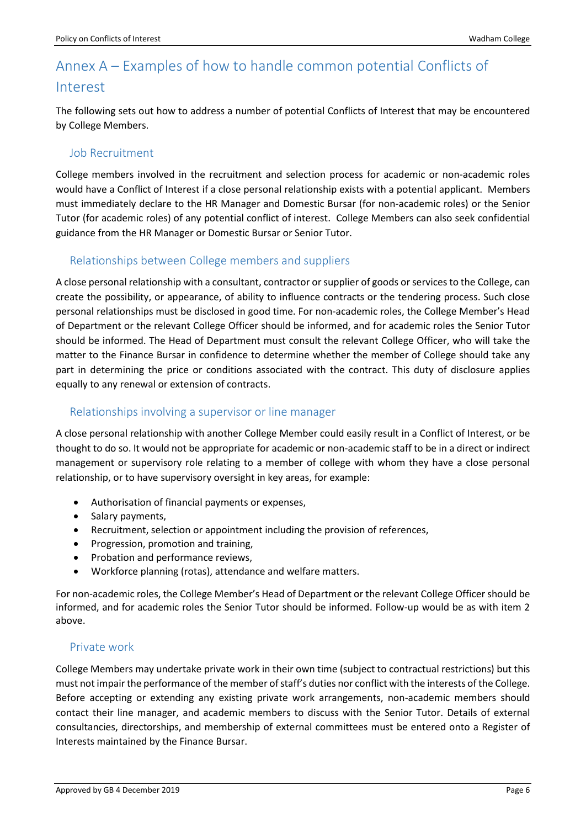### <span id="page-5-0"></span>Annex A – Examples of how to handle common potential Conflicts of Interest

The following sets out how to address a number of potential Conflicts of Interest that may be encountered by College Members.

#### Job Recruitment

College members involved in the recruitment and selection process for academic or non-academic roles would have a Conflict of Interest if a close personal relationship exists with a potential applicant. Members must immediately declare to the HR Manager and Domestic Bursar (for non-academic roles) or the Senior Tutor (for academic roles) of any potential conflict of interest. College Members can also seek confidential guidance from the HR Manager or Domestic Bursar or Senior Tutor.

#### Relationships between College members and suppliers

A close personal relationship with a consultant, contractor or supplier of goods or services to the College, can create the possibility, or appearance, of ability to influence contracts or the tendering process. Such close personal relationships must be disclosed in good time. For non-academic roles, the College Member's Head of Department or the relevant College Officer should be informed, and for academic roles the Senior Tutor should be informed. The Head of Department must consult the relevant College Officer, who will take the matter to the Finance Bursar in confidence to determine whether the member of College should take any part in determining the price or conditions associated with the contract. This duty of disclosure applies equally to any renewal or extension of contracts.

#### Relationships involving a supervisor or line manager

A close personal relationship with another College Member could easily result in a Conflict of Interest, or be thought to do so. It would not be appropriate for academic or non-academic staff to be in a direct or indirect management or supervisory role relating to a member of college with whom they have a close personal relationship, or to have supervisory oversight in key areas, for example:

- Authorisation of financial payments or expenses,
- Salary payments,
- Recruitment, selection or appointment including the provision of references,
- Progression, promotion and training,
- Probation and performance reviews,
- Workforce planning (rotas), attendance and welfare matters.

For non-academic roles, the College Member's Head of Department or the relevant College Officer should be informed, and for academic roles the Senior Tutor should be informed. Follow-up would be as with item 2 above.

#### Private work

College Members may undertake private work in their own time (subject to contractual restrictions) but this must not impair the performance of the member of staff's duties nor conflict with the interests of the College. Before accepting or extending any existing private work arrangements, non-academic members should contact their line manager, and academic members to discuss with the Senior Tutor. Details of external consultancies, directorships, and membership of external committees must be entered onto a Register of Interests maintained by the Finance Bursar.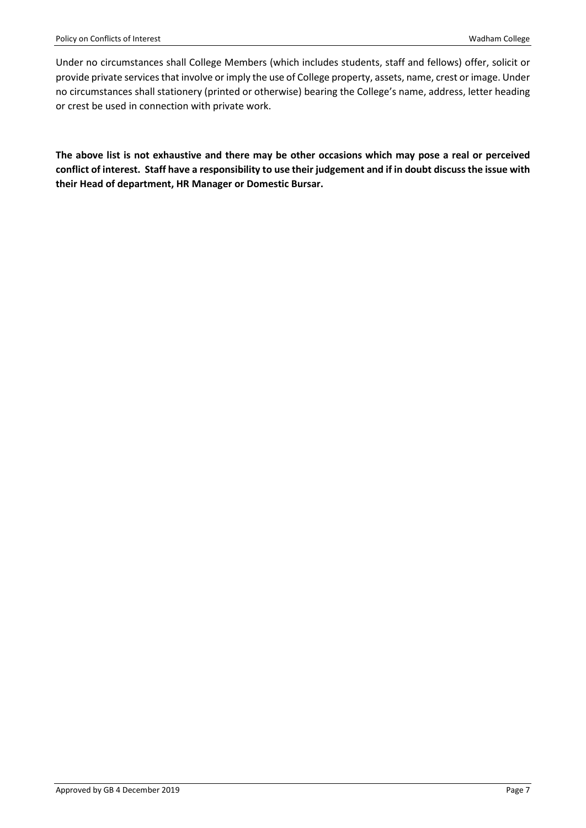Under no circumstances shall College Members (which includes students, staff and fellows) offer, solicit or provide private services that involve or imply the use of College property, assets, name, crest or image. Under no circumstances shall stationery (printed or otherwise) bearing the College's name, address, letter heading or crest be used in connection with private work.

**The above list is not exhaustive and there may be other occasions which may pose a real or perceived conflict of interest. Staff have a responsibility to use their judgement and if in doubt discuss the issue with their Head of department, HR Manager or Domestic Bursar.**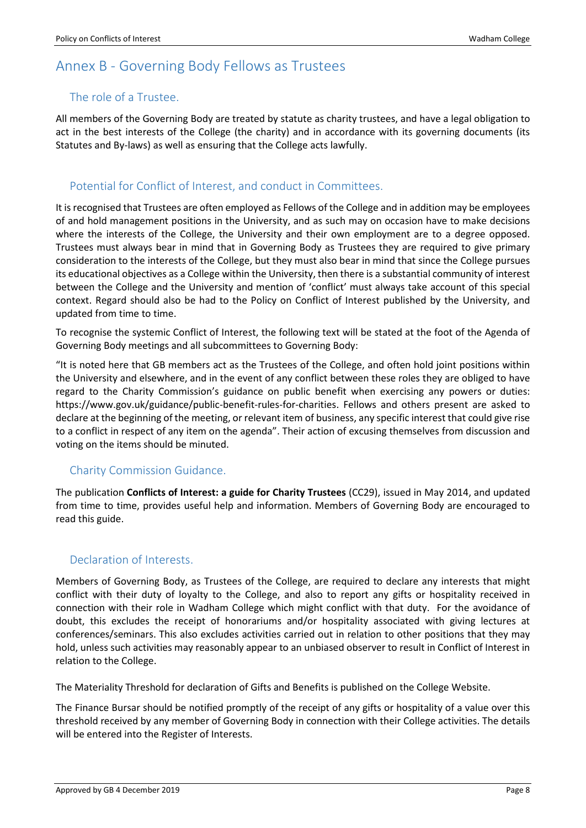### <span id="page-7-0"></span>Annex B - Governing Body Fellows as Trustees

#### The role of a Trustee.

All members of the Governing Body are treated by statute as charity trustees, and have a legal obligation to act in the best interests of the College (the charity) and in accordance with its governing documents (its Statutes and By-laws) as well as ensuring that the College acts lawfully.

#### Potential for Conflict of Interest, and conduct in Committees.

It is recognised that Trustees are often employed as Fellows of the College and in addition may be employees of and hold management positions in the University, and as such may on occasion have to make decisions where the interests of the College, the University and their own employment are to a degree opposed. Trustees must always bear in mind that in Governing Body as Trustees they are required to give primary consideration to the interests of the College, but they must also bear in mind that since the College pursues its educational objectives as a College within the University, then there is a substantial community of interest between the College and the University and mention of 'conflict' must always take account of this special context. Regard should also be had to the Policy on Conflict of Interest published by the University, and updated from time to time.

To recognise the systemic Conflict of Interest, the following text will be stated at the foot of the Agenda of Governing Body meetings and all subcommittees to Governing Body:

"It is noted here that GB members act as the Trustees of the College, and often hold joint positions within the University and elsewhere, and in the event of any conflict between these roles they are obliged to have regard to the Charity Commission's guidance on public benefit when exercising any powers or duties: [https://www.gov.uk/guidance/public-benefit-rules-for-charities.](https://www.gov.uk/guidance/public-benefit-rules-for-charities) Fellows and others present are asked to declare at the beginning of the meeting, or relevant item of business, any specific interest that could give rise to a conflict in respect of any item on the agenda". Their action of excusing themselves from discussion and voting on the items should be minuted.

#### Charity Commission Guidance.

The publication **Conflicts of Interest: a guide for Charity Trustees** (CC29), issued in May 2014, and updated from time to time, provides useful help and information. Members of Governing Body are encouraged to read this guide.

#### Declaration of Interests.

Members of Governing Body, as Trustees of the College, are required to declare any interests that might conflict with their duty of loyalty to the College, and also to report any gifts or hospitality received in connection with their role in Wadham College which might conflict with that duty. For the avoidance of doubt, this excludes the receipt of honorariums and/or hospitality associated with giving lectures at conferences/seminars. This also excludes activities carried out in relation to other positions that they may hold, unless such activities may reasonably appear to an unbiased observer to result in Conflict of Interest in relation to the College.

The Materiality Threshold for declaration of Gifts and Benefits is published on the College Website.

The Finance Bursar should be notified promptly of the receipt of any gifts or hospitality of a value over this threshold received by any member of Governing Body in connection with their College activities. The details will be entered into the Register of Interests.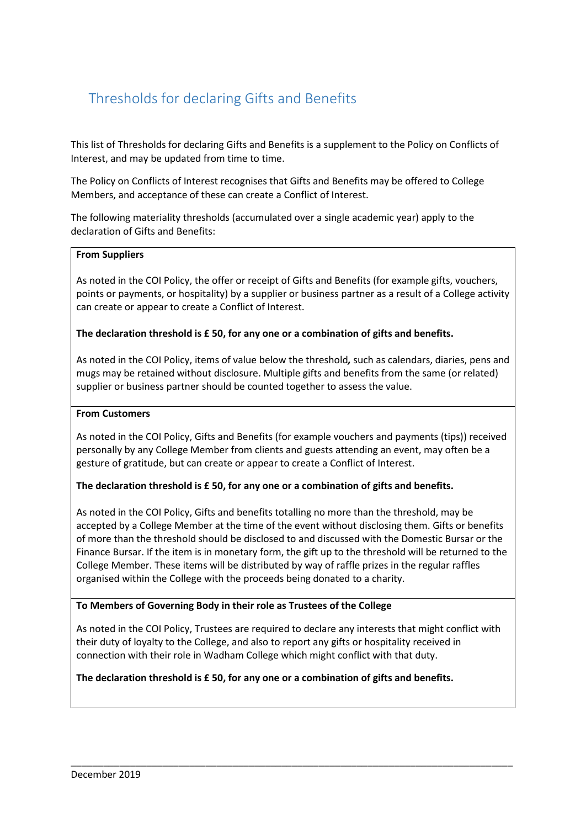### Thresholds for declaring Gifts and Benefits

This list of Thresholds for declaring Gifts and Benefits is a supplement to the Policy on Conflicts of Interest, and may be updated from time to time.

The Policy on Conflicts of Interest recognises that Gifts and Benefits may be offered to College Members, and acceptance of these can create a Conflict of Interest.

The following materiality thresholds (accumulated over a single academic year) apply to the declaration of Gifts and Benefits:

#### **From Suppliers**

As noted in the COI Policy, the offer or receipt of Gifts and Benefits (for example gifts, vouchers, points or payments, or hospitality) by a supplier or business partner as a result of a College activity can create or appear to create a Conflict of Interest.

#### **The declaration threshold is £ 50, for any one or a combination of gifts and benefits.**

As noted in the COI Policy, items of value below the threshold*,* such as calendars, diaries, pens and mugs may be retained without disclosure. Multiple gifts and benefits from the same (or related) supplier or business partner should be counted together to assess the value.

#### **From Customers**

As noted in the COI Policy, Gifts and Benefits (for example vouchers and payments (tips)) received personally by any College Member from clients and guests attending an event, may often be a gesture of gratitude, but can create or appear to create a Conflict of Interest.

#### **The declaration threshold is £ 50, for any one or a combination of gifts and benefits.**

As noted in the COI Policy, Gifts and benefits totalling no more than the threshold, may be accepted by a College Member at the time of the event without disclosing them. Gifts or benefits of more than the threshold should be disclosed to and discussed with the Domestic Bursar or the Finance Bursar. If the item is in monetary form, the gift up to the threshold will be returned to the College Member. These items will be distributed by way of raffle prizes in the regular raffles organised within the College with the proceeds being donated to a charity.

#### **To Members of Governing Body in their role as Trustees of the College**

As noted in the COI Policy, Trustees are required to declare any interests that might conflict with their duty of loyalty to the College, and also to report any gifts or hospitality received in connection with their role in Wadham College which might conflict with that duty.

\_\_\_\_\_\_\_\_\_\_\_\_\_\_\_\_\_\_\_\_\_\_\_\_\_\_\_\_\_\_\_\_\_\_\_\_\_\_\_\_\_\_\_\_\_\_\_\_\_\_\_\_\_\_\_\_\_\_\_\_\_\_\_\_\_\_\_\_\_\_\_\_\_\_\_\_\_\_\_\_\_\_

#### **The declaration threshold is £ 50, for any one or a combination of gifts and benefits.**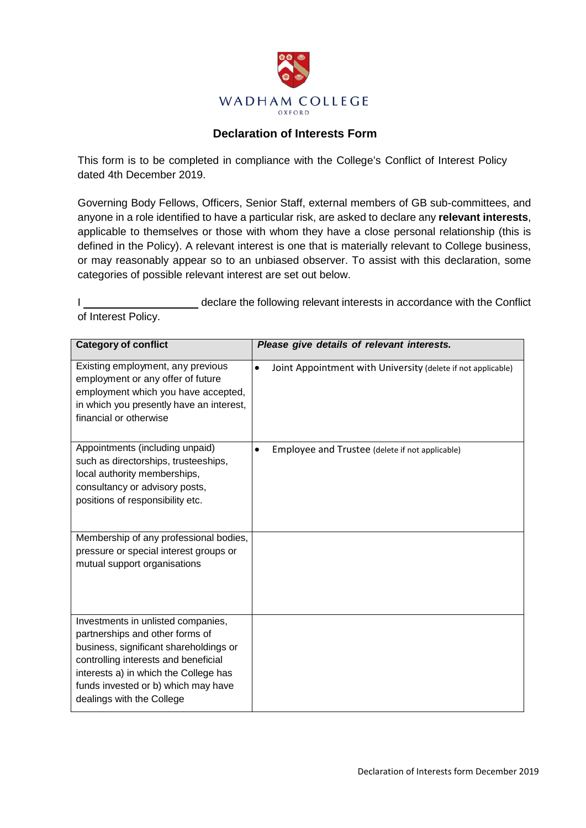

#### **Declaration of Interests Form**

This form is to be completed in compliance with the College's Conflict of Interest Policy dated 4th December 2019.

Governing Body Fellows, Officers, Senior Staff, external members of GB sub-committees, and anyone in a role identified to have a particular risk, are asked to declare any **relevant interests**, applicable to themselves or those with whom they have a close personal relationship (this is defined in the Policy). A relevant interest is one that is materially relevant to College business, or may reasonably appear so to an unbiased observer. To assist with this declaration, some categories of possible relevant interest are set out below.

I declare the following relevant interests in accordance with the Conflict of Interest Policy.

| <b>Category of conflict</b>                                                                                                                                                                                                                                          | Please give details of relevant interests.                                |
|----------------------------------------------------------------------------------------------------------------------------------------------------------------------------------------------------------------------------------------------------------------------|---------------------------------------------------------------------------|
| Existing employment, any previous<br>employment or any offer of future<br>employment which you have accepted,<br>in which you presently have an interest,<br>financial or otherwise                                                                                  | $\bullet$<br>Joint Appointment with University (delete if not applicable) |
| Appointments (including unpaid)<br>such as directorships, trusteeships,<br>local authority memberships,<br>consultancy or advisory posts,<br>positions of responsibility etc.                                                                                        | Employee and Trustee (delete if not applicable)<br>$\bullet$              |
| Membership of any professional bodies,<br>pressure or special interest groups or<br>mutual support organisations                                                                                                                                                     |                                                                           |
| Investments in unlisted companies,<br>partnerships and other forms of<br>business, significant shareholdings or<br>controlling interests and beneficial<br>interests a) in which the College has<br>funds invested or b) which may have<br>dealings with the College |                                                                           |